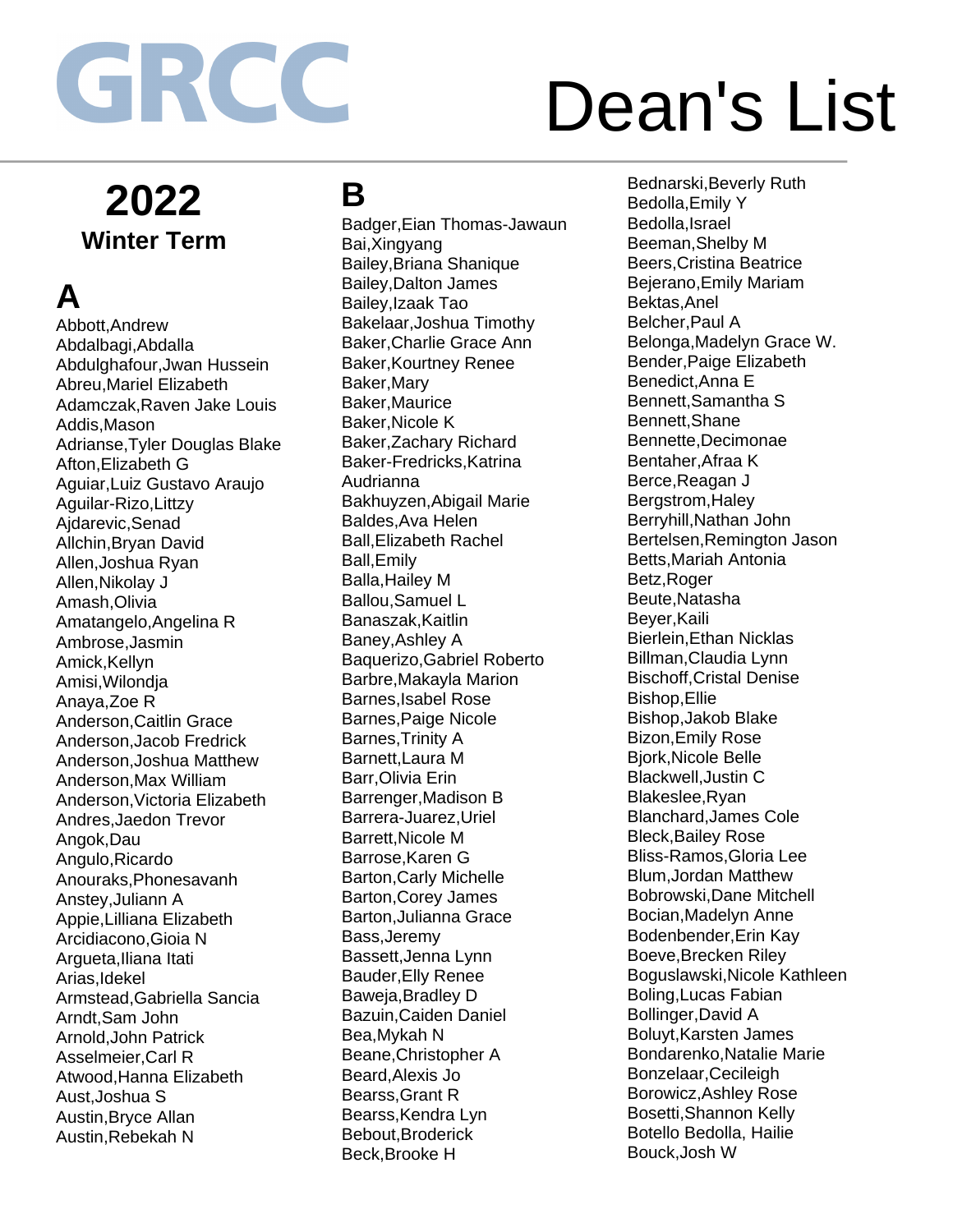## **2022 Winter Term**

## **A**

Abbott,Andrew Abdalbagi,Abdalla Abdulghafour,Jwan Hussein Abreu,Mariel Elizabeth Adamczak,Raven Jake Louis Addis,Mason Adrianse,Tyler Douglas Blake Afton,Elizabeth G Aguiar,Luiz Gustavo Araujo Aguilar-Rizo,Littzy Ajdarevic,Senad Allchin,Bryan David Allen,Joshua Ryan Allen,Nikolay J Amash,Olivia Amatangelo,Angelina R Ambrose,Jasmin Amick,Kellyn Amisi,Wilondja Anaya,Zoe R Anderson,Caitlin Grace Anderson,Jacob Fredrick Anderson,Joshua Matthew Anderson,Max William Anderson,Victoria Elizabeth Andres,Jaedon Trevor Angok,Dau Angulo,Ricardo Anouraks,Phonesavanh Anstey,Juliann A Appie,Lilliana Elizabeth Arcidiacono,Gioia N Argueta,Iliana Itati Arias,Idekel Armstead,Gabriella Sancia Arndt,Sam John Arnold,John Patrick Asselmeier,Carl R Atwood,Hanna Elizabeth Aust,Joshua S Austin,Bryce Allan Austin,Rebekah N

### **B**

Badger,Eian Thomas-Jawaun Bai,Xingyang Bailey,Briana Shanique Bailey,Dalton James Bailey,Izaak Tao Bakelaar,Joshua Timothy Baker,Charlie Grace Ann Baker,Kourtney Renee Baker,Mary Baker,Maurice Baker,Nicole K Baker,Zachary Richard Baker-Fredricks,Katrina Audrianna Bakhuyzen,Abigail Marie Baldes,Ava Helen Ball,Elizabeth Rachel Ball,Emily Balla,Hailey M Ballou,Samuel L Banaszak,Kaitlin Baney,Ashley A Baquerizo,Gabriel Roberto Barbre,Makayla Marion Barnes,Isabel Rose Barnes,Paige Nicole Barnes,Trinity A Barnett,Laura M Barr,Olivia Erin Barrenger,Madison B Barrera-Juarez,Uriel Barrett,Nicole M Barrose,Karen G Barton,Carly Michelle Barton,Corey James Barton,Julianna Grace Bass,Jeremy Bassett,Jenna Lynn Bauder,Elly Renee Baweja,Bradley D Bazuin,Caiden Daniel Bea,Mykah N Beane,Christopher A Beard,Alexis Jo Bearss,Grant R Bearss,Kendra Lyn Bebout,Broderick Beck,Brooke H

Bednarski,Beverly Ruth Bedolla,Emily Y Bedolla,Israel Beeman,Shelby M Beers,Cristina Beatrice Bejerano,Emily Mariam Bektas,Anel Belcher,Paul A Belonga,Madelyn Grace W. Bender,Paige Elizabeth Benedict,Anna E Bennett,Samantha S Bennett,Shane Bennette,Decimonae Bentaher,Afraa K Berce,Reagan J Bergstrom,Haley Berryhill,Nathan John Bertelsen,Remington Jason Betts,Mariah Antonia Betz,Roger Beute,Natasha Beyer,Kaili Bierlein,Ethan Nicklas Billman,Claudia Lynn Bischoff,Cristal Denise Bishop,Ellie Bishop,Jakob Blake Bizon,Emily Rose Bjork,Nicole Belle Blackwell,Justin C Blakeslee,Ryan Blanchard,James Cole Bleck,Bailey Rose Bliss-Ramos,Gloria Lee Blum,Jordan Matthew Bobrowski,Dane Mitchell Bocian,Madelyn Anne Bodenbender,Erin Kay Boeve,Brecken Riley Boguslawski,Nicole Kathleen Boling,Lucas Fabian Bollinger,David A Boluyt,Karsten James Bondarenko,Natalie Marie Bonzelaar,Cecileigh Borowicz,Ashley Rose Bosetti,Shannon Kelly Botello Bedolla, Hailie Bouck,Josh W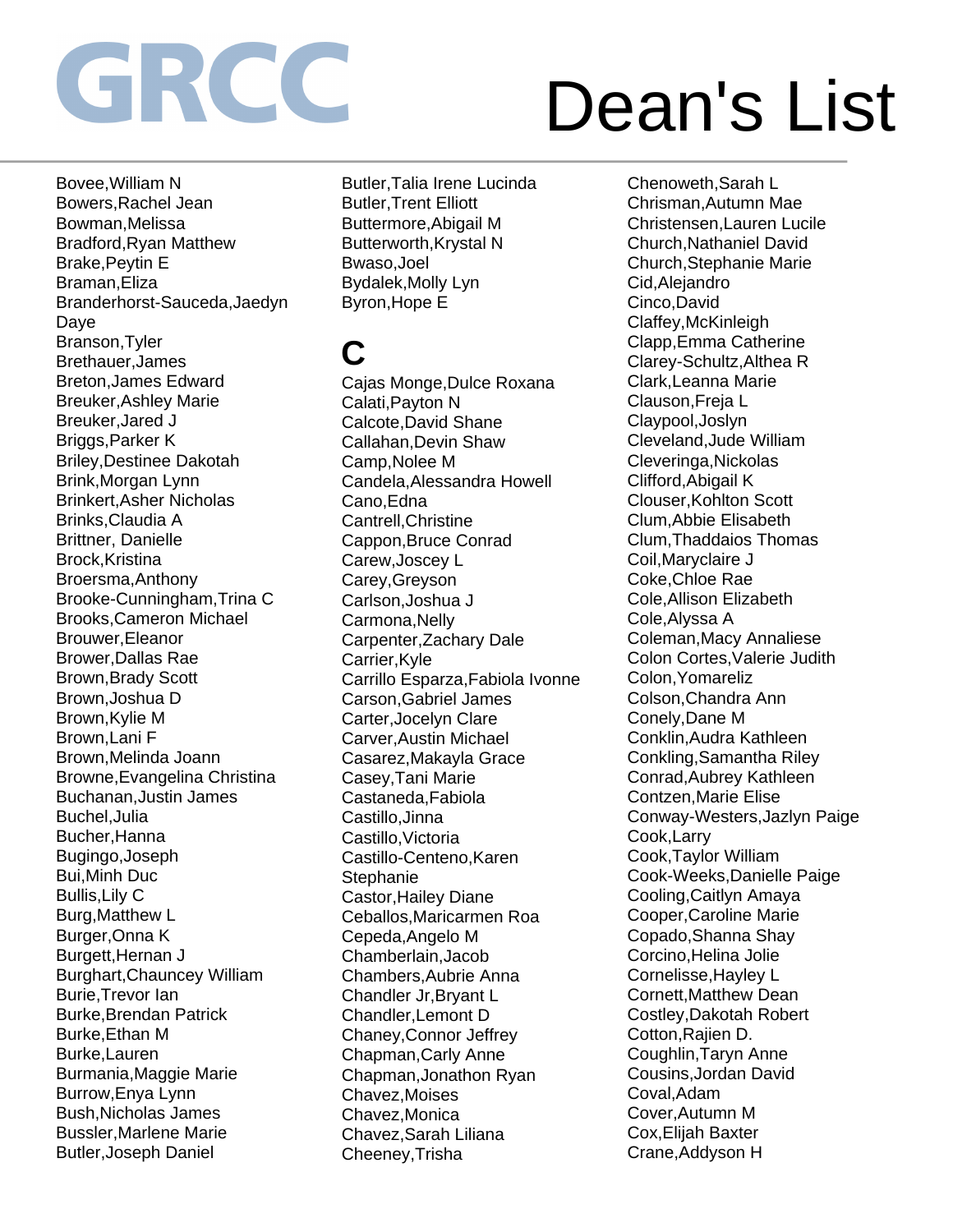Bovee,William N Bowers,Rachel Jean Bowman,Melissa Bradford,Ryan Matthew Brake,Peytin E Braman,Eliza Branderhorst-Sauceda,Jaedyn Daye Branson,Tyler Brethauer,James Breton,James Edward Breuker,Ashley Marie Breuker,Jared J Briggs,Parker K Briley,Destinee Dakotah Brink,Morgan Lynn Brinkert,Asher Nicholas Brinks,Claudia A Brittner, Danielle Brock,Kristina Broersma,Anthony Brooke-Cunningham,Trina C Brooks,Cameron Michael Brouwer,Eleanor Brower,Dallas Rae Brown,Brady Scott Brown,Joshua D Brown,Kylie M Brown,Lani F Brown,Melinda Joann Browne,Evangelina Christina Buchanan,Justin James Buchel,Julia Bucher,Hanna Bugingo,Joseph Bui,Minh Duc Bullis,Lily C Burg,Matthew L Burger,Onna K Burgett,Hernan J Burghart,Chauncey William Burie,Trevor Ian Burke,Brendan Patrick Burke,Ethan M Burke,Lauren Burmania,Maggie Marie Burrow,Enya Lynn Bush,Nicholas James Bussler,Marlene Marie Butler,Joseph Daniel

Butler,Talia Irene Lucinda Butler,Trent Elliott Buttermore,Abigail M Butterworth,Krystal N Bwaso,Joel Bydalek,Molly Lyn Byron,Hope E

## **C**

Cajas Monge,Dulce Roxana Calati,Payton N Calcote,David Shane Callahan,Devin Shaw Camp,Nolee M Candela,Alessandra Howell Cano,Edna Cantrell,Christine Cappon,Bruce Conrad Carew,Joscey L Carey,Greyson Carlson,Joshua J Carmona,Nelly Carpenter,Zachary Dale Carrier,Kyle Carrillo Esparza,Fabiola Ivonne Carson,Gabriel James Carter,Jocelyn Clare Carver,Austin Michael Casarez,Makayla Grace Casey,Tani Marie Castaneda,Fabiola Castillo,Jinna Castillo,Victoria Castillo-Centeno,Karen **Stephanie** Castor,Hailey Diane Ceballos,Maricarmen Roa Cepeda,Angelo M Chamberlain,Jacob Chambers,Aubrie Anna Chandler Jr,Bryant L Chandler,Lemont D Chaney,Connor Jeffrey Chapman,Carly Anne Chapman,Jonathon Ryan Chavez,Moises Chavez,Monica Chavez,Sarah Liliana Cheeney,Trisha

Chenoweth,Sarah L Chrisman,Autumn Mae Christensen,Lauren Lucile Church,Nathaniel David Church,Stephanie Marie Cid,Alejandro Cinco,David Claffey,McKinleigh Clapp,Emma Catherine Clarey-Schultz,Althea R Clark,Leanna Marie Clauson,Freja L Claypool,Joslyn Cleveland,Jude William Cleveringa,Nickolas Clifford,Abigail K Clouser,Kohlton Scott Clum,Abbie Elisabeth Clum,Thaddaios Thomas Coil,Maryclaire J Coke,Chloe Rae Cole,Allison Elizabeth Cole,Alyssa A Coleman,Macy Annaliese Colon Cortes,Valerie Judith Colon,Yomareliz Colson,Chandra Ann Conely,Dane M Conklin,Audra Kathleen Conkling,Samantha Riley Conrad,Aubrey Kathleen Contzen,Marie Elise Conway-Westers,Jazlyn Paige Cook,Larry Cook,Taylor William Cook-Weeks,Danielle Paige Cooling,Caitlyn Amaya Cooper,Caroline Marie Copado,Shanna Shay Corcino,Helina Jolie Cornelisse,Hayley L Cornett,Matthew Dean Costley,Dakotah Robert Cotton,Rajien D. Coughlin,Taryn Anne Cousins,Jordan David Coval,Adam Cover,Autumn M Cox,Elijah Baxter Crane,Addyson H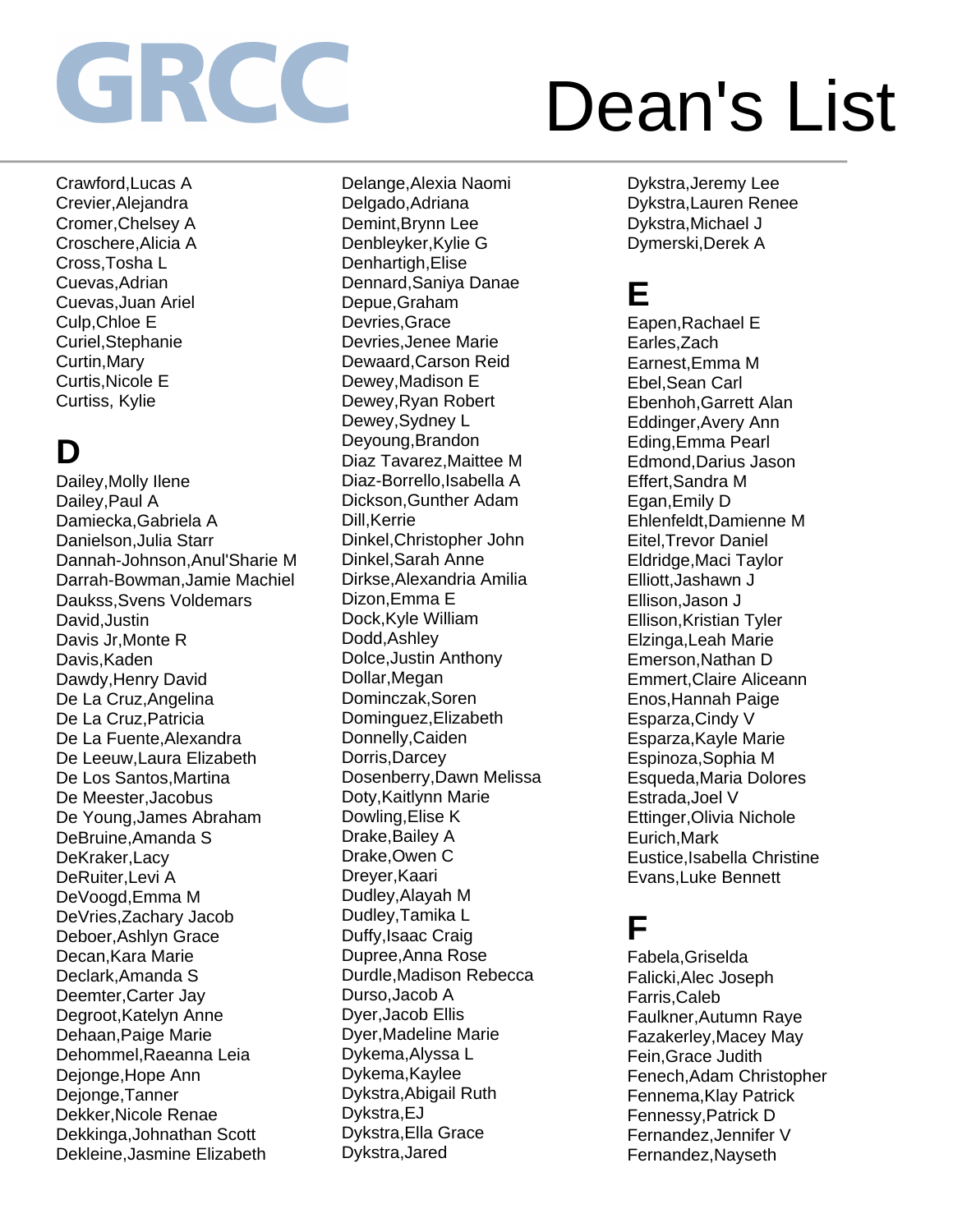Crawford,Lucas A Crevier,Alejandra Cromer,Chelsey A Croschere,Alicia A Cross,Tosha L Cuevas,Adrian Cuevas,Juan Ariel Culp,Chloe E Curiel,Stephanie Curtin,Mary Curtis,Nicole E Curtiss, Kylie

## **D**

Dailey,Molly Ilene Dailey,Paul A Damiecka,Gabriela A Danielson,Julia Starr Dannah-Johnson,Anul'Sharie M Darrah-Bowman,Jamie Machiel Daukss,Svens Voldemars David,Justin Davis Jr,Monte R Davis,Kaden Dawdy,Henry David De La Cruz,Angelina De La Cruz,Patricia De La Fuente,Alexandra De Leeuw,Laura Elizabeth De Los Santos,Martina De Meester,Jacobus De Young,James Abraham DeBruine,Amanda S DeKraker,Lacy DeRuiter,Levi A DeVoogd,Emma M DeVries,Zachary Jacob Deboer,Ashlyn Grace Decan,Kara Marie Declark,Amanda S Deemter,Carter Jay Degroot,Katelyn Anne Dehaan,Paige Marie Dehommel,Raeanna Leia Dejonge,Hope Ann Dejonge,Tanner Dekker,Nicole Renae Dekkinga,Johnathan Scott Dekleine,Jasmine Elizabeth

Delange,Alexia Naomi Delgado,Adriana Demint,Brynn Lee Denbleyker,Kylie G Denhartigh,Elise Dennard,Saniya Danae Depue,Graham Devries,Grace Devries,Jenee Marie Dewaard,Carson Reid Dewey,Madison E Dewey,Ryan Robert Dewey,Sydney L Deyoung,Brandon Diaz Tavarez,Maittee M Diaz-Borrello,Isabella A Dickson,Gunther Adam Dill,Kerrie Dinkel,Christopher John Dinkel,Sarah Anne Dirkse,Alexandria Amilia Dizon,Emma E Dock,Kyle William Dodd,Ashley Dolce,Justin Anthony Dollar,Megan Dominczak,Soren Dominguez,Elizabeth Donnelly,Caiden Dorris,Darcey Dosenberry,Dawn Melissa Doty,Kaitlynn Marie Dowling,Elise K Drake,Bailey A Drake,Owen C Dreyer,Kaari Dudley,Alayah M Dudley,Tamika L Duffy,Isaac Craig Dupree,Anna Rose Durdle,Madison Rebecca Durso,Jacob A Dyer,Jacob Ellis Dyer,Madeline Marie Dykema,Alyssa L Dykema,Kaylee Dykstra,Abigail Ruth Dykstra,EJ Dykstra,Ella Grace Dykstra,Jared

Dykstra,Jeremy Lee Dykstra,Lauren Renee Dykstra,Michael J Dymerski,Derek A

## **E**

Eapen,Rachael E Earles,Zach Earnest,Emma M Ebel,Sean Carl Ebenhoh,Garrett Alan Eddinger,Avery Ann Eding,Emma Pearl Edmond,Darius Jason Effert,Sandra M Egan,Emily D Ehlenfeldt,Damienne M Eitel,Trevor Daniel Eldridge,Maci Taylor Elliott,Jashawn J Ellison,Jason J Ellison,Kristian Tyler Elzinga,Leah Marie Emerson,Nathan D Emmert,Claire Aliceann Enos,Hannah Paige Esparza,Cindy V Esparza,Kayle Marie Espinoza,Sophia M Esqueda,Maria Dolores Estrada,Joel V Ettinger,Olivia Nichole Eurich,Mark Eustice,Isabella Christine Evans,Luke Bennett

### **F**

Fabela,Griselda Falicki,Alec Joseph Farris,Caleb Faulkner,Autumn Raye Fazakerley,Macey May Fein,Grace Judith Fenech,Adam Christopher Fennema,Klay Patrick Fennessy,Patrick D Fernandez,Jennifer V Fernandez,Nayseth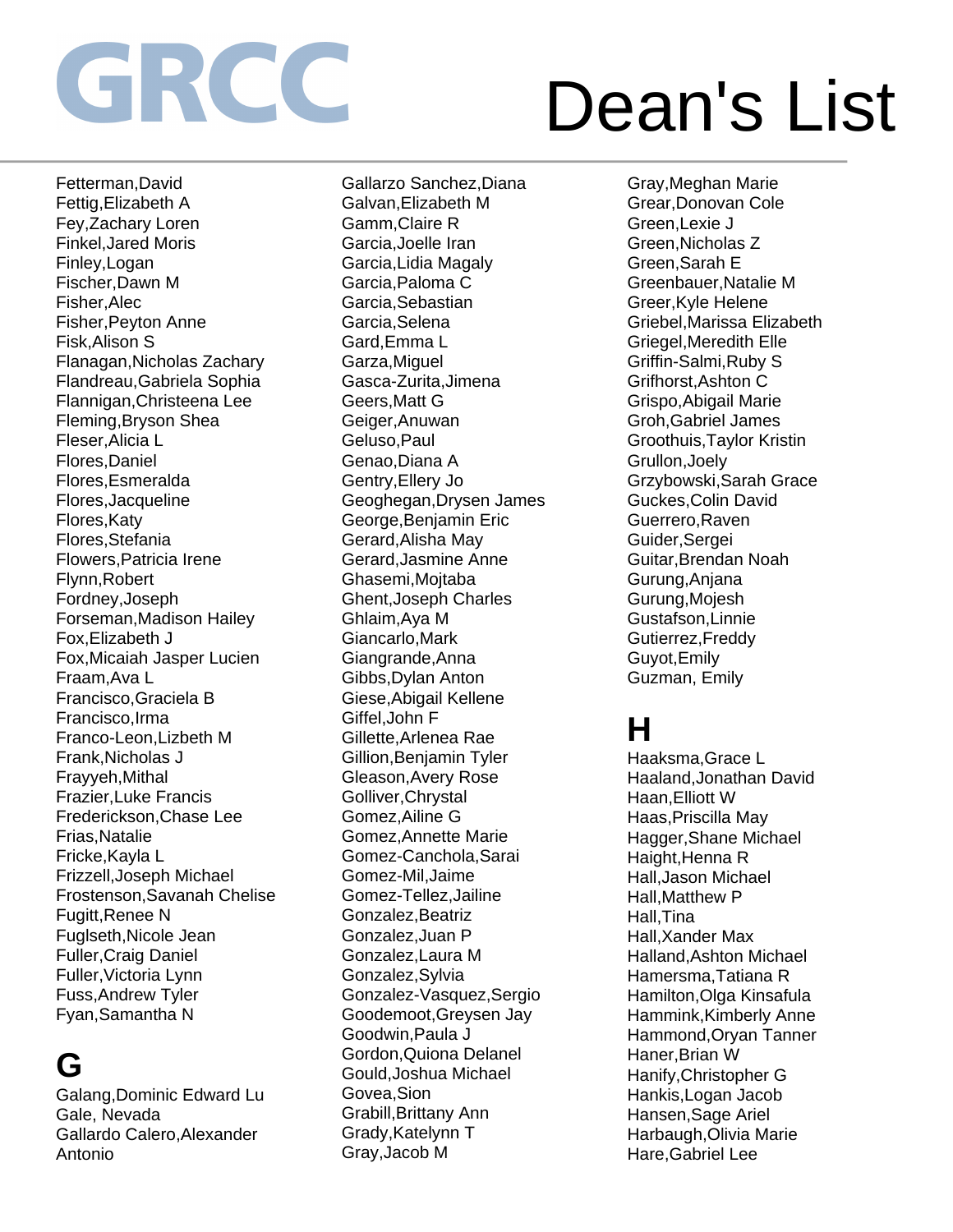Fetterman,David Fettig,Elizabeth A Fey,Zachary Loren Finkel,Jared Moris Finley,Logan Fischer,Dawn M Fisher,Alec Fisher,Peyton Anne Fisk,Alison S Flanagan,Nicholas Zachary Flandreau,Gabriela Sophia Flannigan,Christeena Lee Fleming,Bryson Shea Fleser,Alicia L Flores,Daniel Flores,Esmeralda Flores,Jacqueline Flores,Katy Flores,Stefania Flowers,Patricia Irene Flynn,Robert Fordney,Joseph Forseman,Madison Hailey Fox,Elizabeth J Fox,Micaiah Jasper Lucien Fraam,Ava L Francisco,Graciela B Francisco,Irma Franco-Leon,Lizbeth M Frank,Nicholas J Frayyeh,Mithal Frazier,Luke Francis Frederickson,Chase Lee Frias,Natalie Fricke,Kayla L Frizzell,Joseph Michael Frostenson,Savanah Chelise Fugitt,Renee N Fuglseth,Nicole Jean Fuller,Craig Daniel Fuller,Victoria Lynn Fuss,Andrew Tyler Fyan,Samantha N

## **G**

Galang,Dominic Edward Lu Gale, Nevada Gallardo Calero,Alexander Antonio

Gallarzo Sanchez,Diana Galvan,Elizabeth M Gamm,Claire R Garcia,Joelle Iran Garcia,Lidia Magaly Garcia,Paloma C Garcia,Sebastian Garcia,Selena Gard,Emma L Garza,Miguel Gasca-Zurita,Jimena Geers,Matt G Geiger,Anuwan Geluso,Paul Genao,Diana A Gentry,Ellery Jo Geoghegan,Drysen James George,Benjamin Eric Gerard,Alisha May Gerard,Jasmine Anne Ghasemi,Mojtaba Ghent,Joseph Charles Ghlaim,Aya M Giancarlo,Mark Giangrande,Anna Gibbs,Dylan Anton Giese,Abigail Kellene Giffel,John F Gillette,Arlenea Rae Gillion,Benjamin Tyler Gleason,Avery Rose Golliver,Chrystal Gomez,Ailine G Gomez,Annette Marie Gomez-Canchola,Sarai Gomez-Mil,Jaime Gomez-Tellez,Jailine Gonzalez,Beatriz Gonzalez,Juan P Gonzalez,Laura M Gonzalez,Sylvia Gonzalez-Vasquez,Sergio Goodemoot,Greysen Jay Goodwin,Paula J Gordon,Quiona Delanel Gould,Joshua Michael Govea,Sion Grabill,Brittany Ann Grady,Katelynn T Gray,Jacob M

Gray,Meghan Marie Grear,Donovan Cole Green,Lexie J Green,Nicholas Z Green,Sarah E Greenbauer,Natalie M Greer,Kyle Helene Griebel,Marissa Elizabeth Griegel,Meredith Elle Griffin-Salmi,Ruby S Grifhorst,Ashton C Grispo,Abigail Marie Groh,Gabriel James Groothuis,Taylor Kristin Grullon,Joely Grzybowski,Sarah Grace Guckes,Colin David Guerrero,Raven Guider,Sergei Guitar,Brendan Noah Gurung,Anjana Gurung,Mojesh Gustafson,Linnie Gutierrez,Freddy Guyot,Emily Guzman, Emily

### **H**

Haaksma,Grace L Haaland,Jonathan David Haan,Elliott W Haas,Priscilla May Hagger,Shane Michael Haight, Henna R Hall,Jason Michael Hall,Matthew P Hall,Tina Hall,Xander Max Halland,Ashton Michael Hamersma,Tatiana R Hamilton,Olga Kinsafula Hammink,Kimberly Anne Hammond,Oryan Tanner Haner,Brian W Hanify,Christopher G Hankis,Logan Jacob Hansen,Sage Ariel Harbaugh,Olivia Marie Hare,Gabriel Lee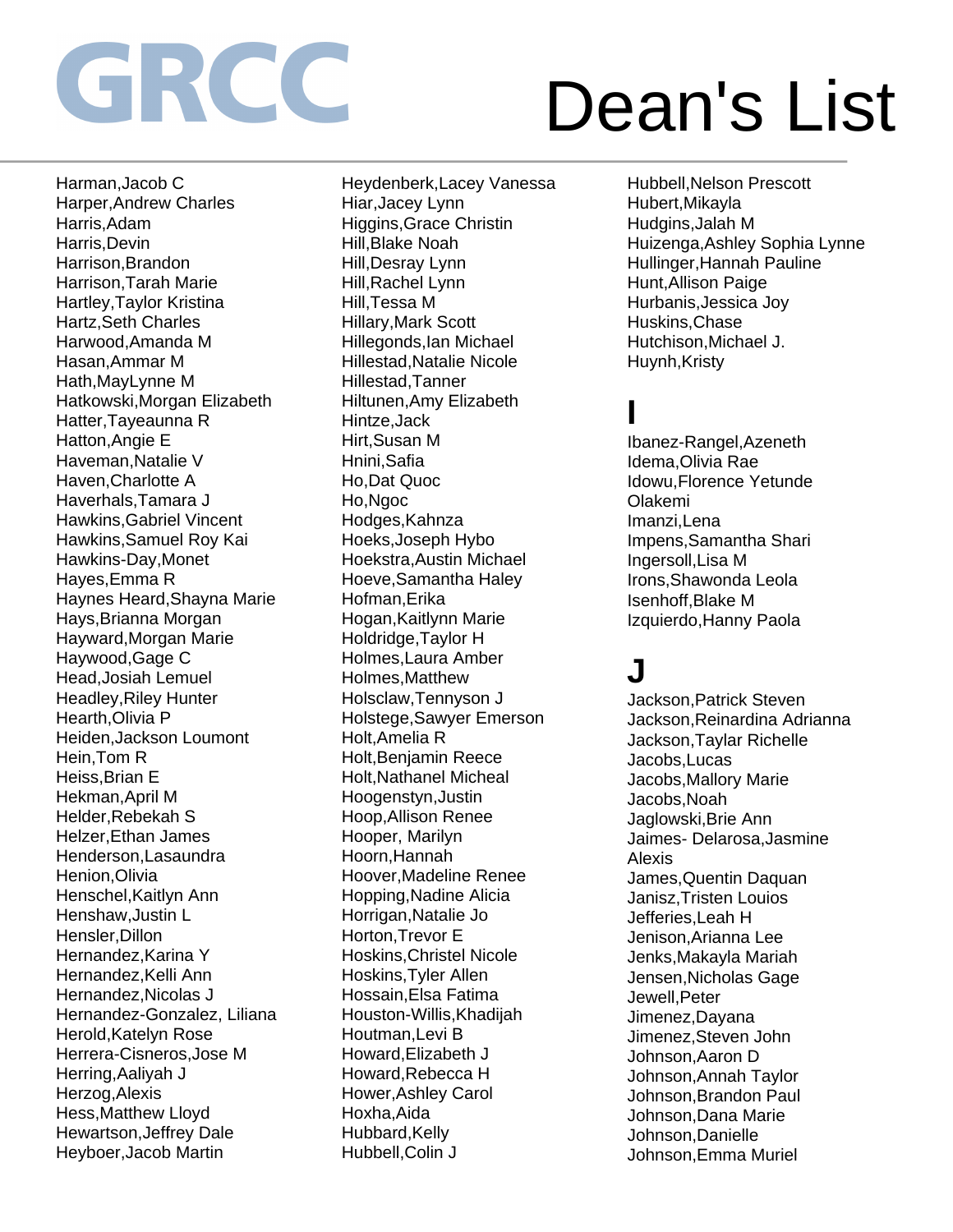Harman,Jacob C Harper,Andrew Charles Harris,Adam Harris,Devin Harrison,Brandon Harrison,Tarah Marie Hartley,Taylor Kristina Hartz,Seth Charles Harwood,Amanda M Hasan,Ammar M Hath,MayLynne M Hatkowski,Morgan Elizabeth Hatter,Tayeaunna R Hatton,Angie E Haveman,Natalie V Haven,Charlotte A Haverhals,Tamara J Hawkins,Gabriel Vincent Hawkins,Samuel Roy Kai Hawkins-Day,Monet Hayes,Emma R Haynes Heard,Shayna Marie Hays,Brianna Morgan Hayward,Morgan Marie Haywood,Gage C Head,Josiah Lemuel Headley,Riley Hunter Hearth,Olivia P Heiden,Jackson Loumont Hein,Tom R Heiss,Brian E Hekman,April M Helder,Rebekah S Helzer,Ethan James Henderson,Lasaundra Henion,Olivia Henschel,Kaitlyn Ann Henshaw,Justin L Hensler,Dillon Hernandez,Karina Y Hernandez,Kelli Ann Hernandez,Nicolas J Hernandez-Gonzalez, Liliana Herold,Katelyn Rose Herrera-Cisneros,Jose M Herring,Aaliyah J Herzog,Alexis Hess,Matthew Lloyd Hewartson,Jeffrey Dale Heyboer,Jacob Martin

Heydenberk,Lacey Vanessa Hiar,Jacey Lynn Higgins,Grace Christin Hill,Blake Noah Hill,Desray Lynn Hill,Rachel Lynn Hill,Tessa M Hillary,Mark Scott Hillegonds,Ian Michael Hillestad,Natalie Nicole Hillestad,Tanner Hiltunen,Amy Elizabeth Hintze,Jack Hirt,Susan M Hnini,Safia Ho,Dat Quoc Ho,Ngoc Hodges,Kahnza Hoeks,Joseph Hybo Hoekstra,Austin Michael Hoeve,Samantha Haley Hofman,Erika Hogan,Kaitlynn Marie Holdridge,Taylor H Holmes,Laura Amber Holmes,Matthew Holsclaw,Tennyson J Holstege,Sawyer Emerson Holt,Amelia R Holt,Benjamin Reece Holt,Nathanel Micheal Hoogenstyn,Justin Hoop,Allison Renee Hooper, Marilyn Hoorn,Hannah Hoover,Madeline Renee Hopping,Nadine Alicia Horrigan,Natalie Jo Horton,Trevor E Hoskins,Christel Nicole Hoskins,Tyler Allen Hossain,Elsa Fatima Houston-Willis,Khadijah Houtman,Levi B Howard,Elizabeth J Howard,Rebecca H Hower,Ashley Carol Hoxha,Aida Hubbard, Kelly Hubbell,Colin J

Hubbell,Nelson Prescott Hubert,Mikayla Hudgins,Jalah M Huizenga,Ashley Sophia Lynne Hullinger,Hannah Pauline Hunt,Allison Paige Hurbanis,Jessica Joy Huskins,Chase Hutchison,Michael J. Huynh, Kristy

### **I**

Ibanez-Rangel,Azeneth Idema,Olivia Rae Idowu,Florence Yetunde Olakemi Imanzi,Lena Impens,Samantha Shari Ingersoll,Lisa M Irons,Shawonda Leola Isenhoff,Blake M Izquierdo,Hanny Paola

### **J**

Jackson,Patrick Steven Jackson,Reinardina Adrianna Jackson,Taylar Richelle Jacobs,Lucas Jacobs,Mallory Marie Jacobs,Noah Jaglowski,Brie Ann Jaimes- Delarosa,Jasmine Alexis James,Quentin Daquan Janisz,Tristen Louios Jefferies,Leah H Jenison,Arianna Lee Jenks,Makayla Mariah Jensen,Nicholas Gage Jewell,Peter Jimenez,Dayana Jimenez,Steven John Johnson,Aaron D Johnson,Annah Taylor Johnson,Brandon Paul Johnson,Dana Marie Johnson,Danielle Johnson,Emma Muriel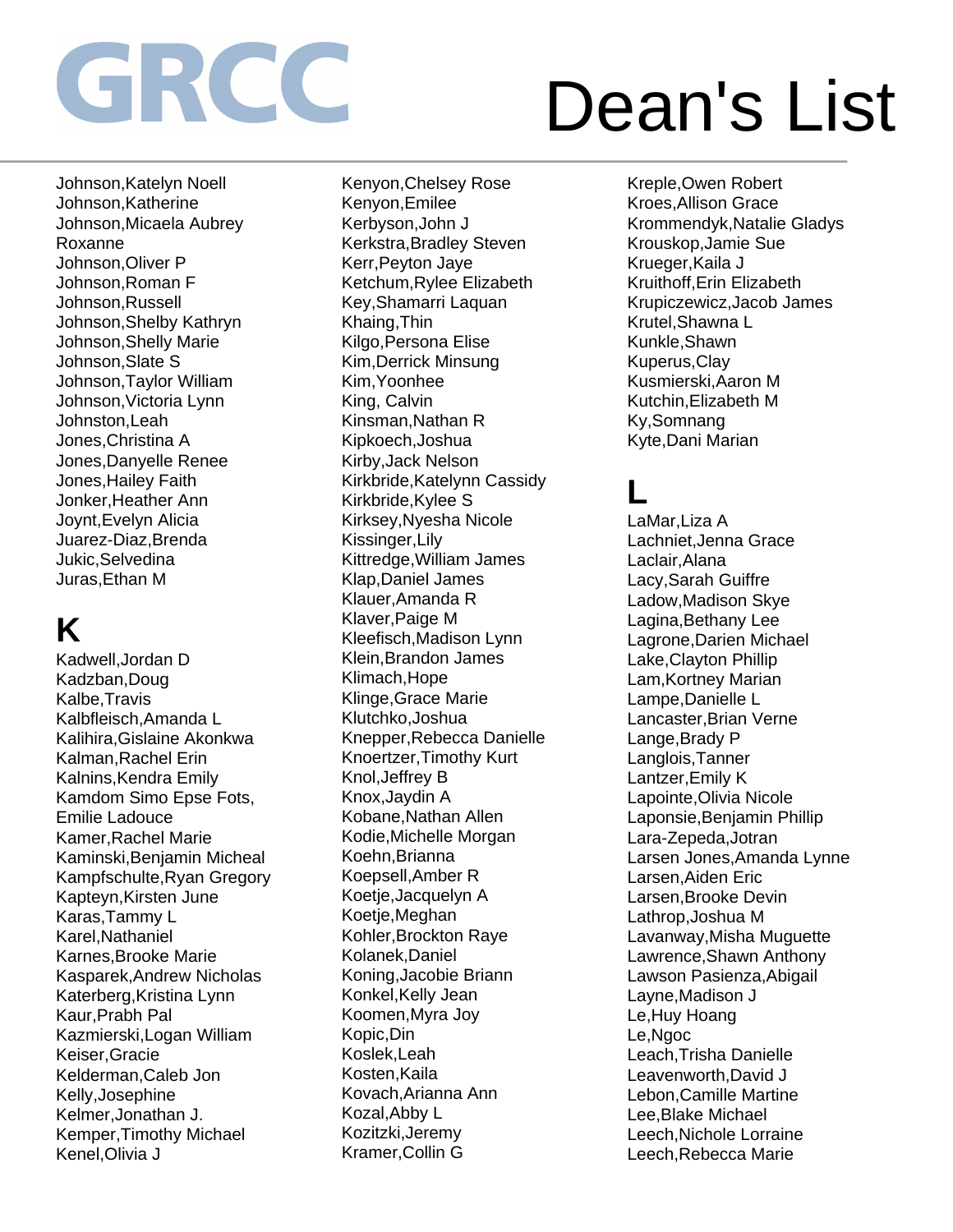Johnson,Katelyn Noell Johnson,Katherine Johnson,Micaela Aubrey Roxanne Johnson,Oliver P Johnson,Roman F Johnson,Russell Johnson,Shelby Kathryn Johnson,Shelly Marie Johnson,Slate S Johnson,Taylor William Johnson,Victoria Lynn Johnston,Leah Jones,Christina A Jones,Danyelle Renee Jones,Hailey Faith Jonker,Heather Ann Joynt,Evelyn Alicia Juarez-Diaz,Brenda Jukic,Selvedina Juras,Ethan M

## **K**

Kadwell,Jordan D Kadzban,Doug Kalbe,Travis Kalbfleisch,Amanda L Kalihira,Gislaine Akonkwa Kalman,Rachel Erin Kalnins,Kendra Emily Kamdom Simo Epse Fots, Emilie Ladouce Kamer,Rachel Marie Kaminski,Benjamin Micheal Kampfschulte,Ryan Gregory Kapteyn,Kirsten June Karas,Tammy L Karel,Nathaniel Karnes,Brooke Marie Kasparek,Andrew Nicholas Katerberg,Kristina Lynn Kaur,Prabh Pal Kazmierski,Logan William Keiser,Gracie Kelderman,Caleb Jon Kelly,Josephine Kelmer,Jonathan J. Kemper,Timothy Michael Kenel,Olivia J

Kenyon,Chelsey Rose Kenyon,Emilee Kerbyson,John J Kerkstra,Bradley Steven Kerr,Peyton Jaye Ketchum,Rylee Elizabeth Key,Shamarri Laquan Khaing,Thin Kilgo,Persona Elise Kim,Derrick Minsung Kim,Yoonhee King, Calvin Kinsman,Nathan R Kipkoech,Joshua Kirby,Jack Nelson Kirkbride,Katelynn Cassidy Kirkbride,Kylee S Kirksey,Nyesha Nicole Kissinger,Lily Kittredge,William James Klap,Daniel James Klauer,Amanda R Klaver,Paige M Kleefisch,Madison Lynn Klein,Brandon James Klimach,Hope Klinge,Grace Marie Klutchko,Joshua Knepper,Rebecca Danielle Knoertzer,Timothy Kurt Knol,Jeffrey B Knox,Jaydin A Kobane,Nathan Allen Kodie,Michelle Morgan Koehn,Brianna Koepsell,Amber R Koetje,Jacquelyn A Koetje,Meghan Kohler,Brockton Raye Kolanek,Daniel Koning,Jacobie Briann Konkel,Kelly Jean Koomen,Myra Joy Kopic,Din Koslek,Leah Kosten,Kaila Kovach,Arianna Ann Kozal,Abby L Kozitzki,Jeremy Kramer,Collin G

Kreple,Owen Robert Kroes,Allison Grace Krommendyk,Natalie Gladys Krouskop,Jamie Sue Krueger,Kaila J Kruithoff,Erin Elizabeth Krupiczewicz,Jacob James Krutel,Shawna L Kunkle,Shawn Kuperus,Clay Kusmierski,Aaron M Kutchin,Elizabeth M Ky,Somnang Kyte,Dani Marian

## **L**

LaMar,Liza A Lachniet,Jenna Grace Laclair,Alana Lacy,Sarah Guiffre Ladow,Madison Skye Lagina,Bethany Lee Lagrone,Darien Michael Lake,Clayton Phillip Lam,Kortney Marian Lampe,Danielle L Lancaster,Brian Verne Lange,Brady P Langlois,Tanner Lantzer,Emily K Lapointe,Olivia Nicole Laponsie,Benjamin Phillip Lara-Zepeda,Jotran Larsen Jones,Amanda Lynne Larsen,Aiden Eric Larsen,Brooke Devin Lathrop,Joshua M Lavanway,Misha Muguette Lawrence,Shawn Anthony Lawson Pasienza,Abigail Layne,Madison J Le,Huy Hoang Le,Ngoc Leach,Trisha Danielle Leavenworth,David J Lebon,Camille Martine Lee,Blake Michael Leech,Nichole Lorraine Leech,Rebecca Marie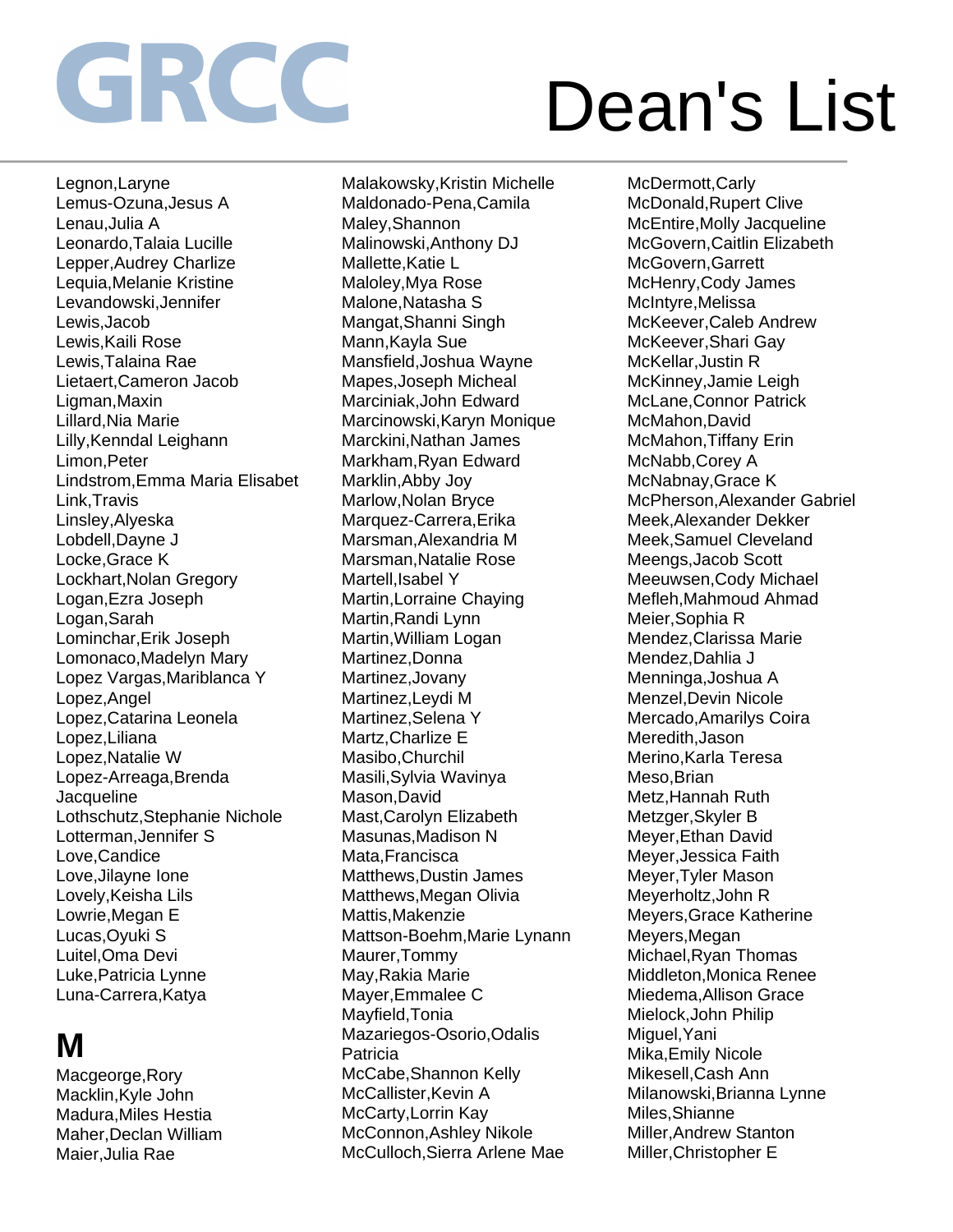Legnon,Laryne Lemus-Ozuna,Jesus A Lenau,Julia A Leonardo,Talaia Lucille Lepper,Audrey Charlize Lequia,Melanie Kristine Levandowski,Jennifer Lewis,Jacob Lewis,Kaili Rose Lewis,Talaina Rae Lietaert,Cameron Jacob Ligman,Maxin Lillard,Nia Marie Lilly,Kenndal Leighann Limon,Peter Lindstrom,Emma Maria Elisabet Link,Travis Linsley,Alyeska Lobdell,Dayne J Locke,Grace K Lockhart,Nolan Gregory Logan,Ezra Joseph Logan,Sarah Lominchar,Erik Joseph Lomonaco,Madelyn Mary Lopez Vargas,Mariblanca Y Lopez,Angel Lopez,Catarina Leonela Lopez,Liliana Lopez,Natalie W Lopez-Arreaga,Brenda **Jacqueline** Lothschutz,Stephanie Nichole Lotterman,Jennifer S Love,Candice Love,Jilayne Ione Lovely,Keisha Lils Lowrie,Megan E Lucas,Oyuki S Luitel,Oma Devi Luke,Patricia Lynne Luna-Carrera,Katya

## **M**

Macgeorge,Rory Macklin,Kyle John Madura,Miles Hestia Maher,Declan William Maier,Julia Rae

Malakowsky,Kristin Michelle Maldonado-Pena,Camila Maley,Shannon Malinowski,Anthony DJ Mallette,Katie L Maloley,Mya Rose Malone,Natasha S Mangat,Shanni Singh Mann,Kayla Sue Mansfield,Joshua Wayne Mapes,Joseph Micheal Marciniak,John Edward Marcinowski,Karyn Monique Marckini,Nathan James Markham,Ryan Edward Marklin,Abby Joy Marlow,Nolan Bryce Marquez-Carrera,Erika Marsman,Alexandria M Marsman,Natalie Rose Martell, Isabel Y Martin,Lorraine Chaying Martin,Randi Lynn Martin,William Logan Martinez,Donna Martinez,Jovany Martinez,Leydi M Martinez,Selena Y Martz,Charlize E Masibo,Churchil Masili,Sylvia Wavinya Mason,David Mast,Carolyn Elizabeth Masunas,Madison N Mata,Francisca Matthews,Dustin James Matthews,Megan Olivia Mattis,Makenzie Mattson-Boehm,Marie Lynann Maurer,Tommy May,Rakia Marie Mayer,Emmalee C Mayfield,Tonia Mazariegos-Osorio,Odalis Patricia McCabe,Shannon Kelly McCallister, Kevin A McCarty,Lorrin Kay McConnon,Ashley Nikole McCulloch,Sierra Arlene Mae

McDermott,Carly McDonald,Rupert Clive McEntire,Molly Jacqueline McGovern,Caitlin Elizabeth McGovern,Garrett McHenry,Cody James McIntyre,Melissa McKeever,Caleb Andrew McKeever,Shari Gay McKellar,Justin R McKinney,Jamie Leigh McLane,Connor Patrick McMahon,David McMahon,Tiffany Erin McNabb,Corey A McNabnay,Grace K McPherson,Alexander Gabriel Meek,Alexander Dekker Meek,Samuel Cleveland Meengs,Jacob Scott Meeuwsen,Cody Michael Mefleh,Mahmoud Ahmad Meier,Sophia R Mendez,Clarissa Marie Mendez,Dahlia J Menninga,Joshua A Menzel,Devin Nicole Mercado,Amarilys Coira Meredith,Jason Merino,Karla Teresa Meso,Brian Metz,Hannah Ruth Metzger,Skyler B Meyer,Ethan David Meyer,Jessica Faith Meyer,Tyler Mason Meyerholtz,John R Meyers,Grace Katherine Meyers,Megan Michael,Ryan Thomas Middleton,Monica Renee Miedema,Allison Grace Mielock,John Philip Miguel,Yani Mika,Emily Nicole Mikesell,Cash Ann Milanowski,Brianna Lynne Miles,Shianne Miller,Andrew Stanton Miller,Christopher E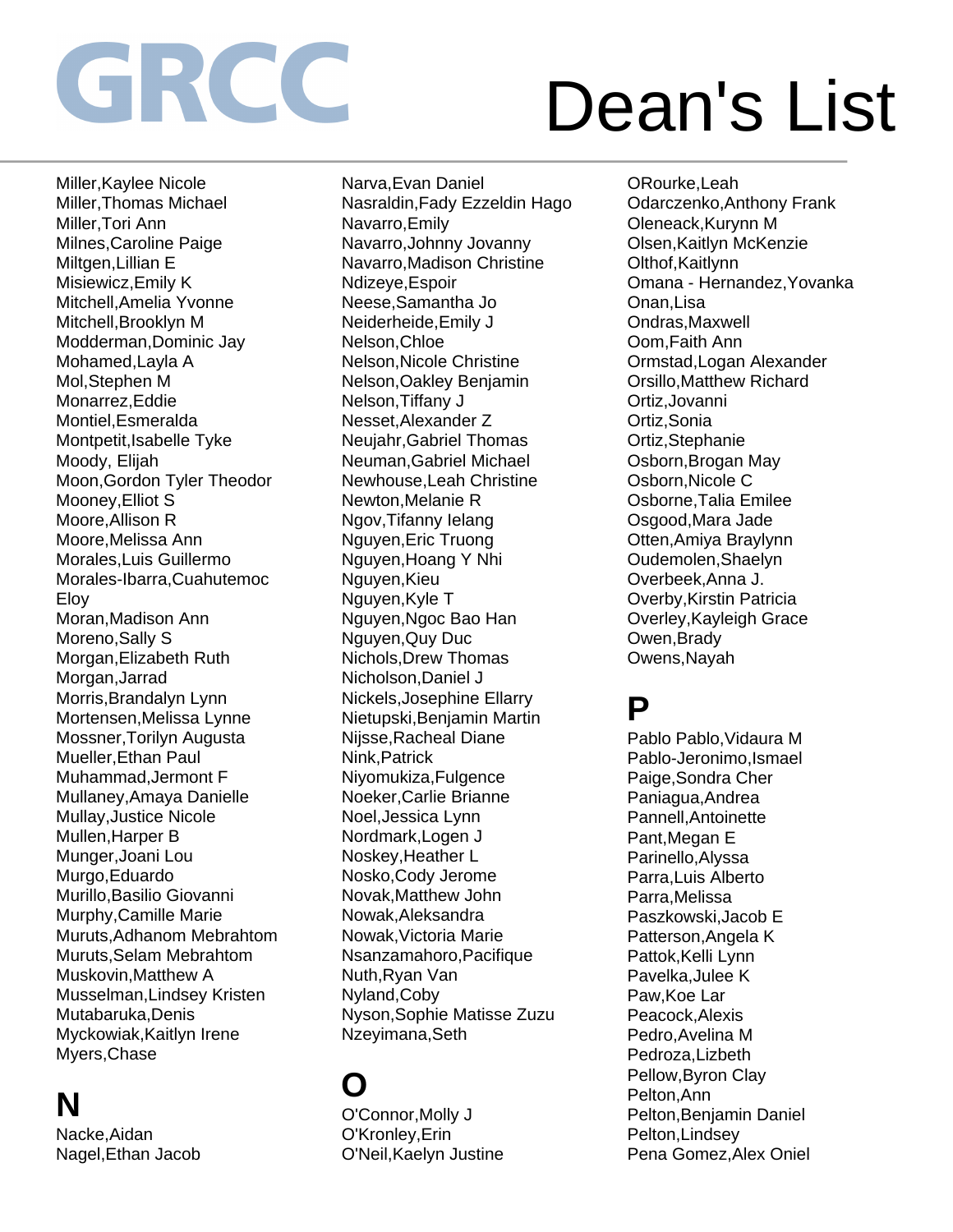Miller,Kaylee Nicole Miller,Thomas Michael Miller,Tori Ann Milnes,Caroline Paige Miltgen,Lillian E Misiewicz,Emily K Mitchell,Amelia Yvonne Mitchell,Brooklyn M Modderman,Dominic Jay Mohamed,Layla A Mol,Stephen M Monarrez,Eddie Montiel,Esmeralda Montpetit,Isabelle Tyke Moody, Elijah Moon,Gordon Tyler Theodor Mooney,Elliot S Moore,Allison R Moore,Melissa Ann Morales,Luis Guillermo Morales-Ibarra,Cuahutemoc Eloy Moran,Madison Ann Moreno,Sally S Morgan,Elizabeth Ruth Morgan,Jarrad Morris,Brandalyn Lynn Mortensen,Melissa Lynne Mossner,Torilyn Augusta Mueller,Ethan Paul Muhammad,Jermont F Mullaney,Amaya Danielle Mullay,Justice Nicole Mullen,Harper B Munger,Joani Lou Murgo,Eduardo Murillo,Basilio Giovanni Murphy,Camille Marie Muruts,Adhanom Mebrahtom Muruts,Selam Mebrahtom Muskovin,Matthew A Musselman,Lindsey Kristen Mutabaruka,Denis Myckowiak,Kaitlyn Irene Myers,Chase

### **N**

Nacke,Aidan Nagel,Ethan Jacob Narva,Evan Daniel Nasraldin,Fady Ezzeldin Hago Navarro,Emily Navarro,Johnny Jovanny Navarro,Madison Christine Ndizeye,Espoir Neese,Samantha Jo Neiderheide,Emily J Nelson,Chloe Nelson,Nicole Christine Nelson,Oakley Benjamin Nelson,Tiffany J Nesset,Alexander Z Neujahr,Gabriel Thomas Neuman,Gabriel Michael Newhouse,Leah Christine Newton,Melanie R Ngov,Tifanny Ielang Nguyen,Eric Truong Nguyen,Hoang Y Nhi Nguyen,Kieu Nguyen,Kyle T Nguyen,Ngoc Bao Han Nguyen,Quy Duc Nichols,Drew Thomas Nicholson,Daniel J Nickels,Josephine Ellarry Nietupski,Benjamin Martin Nijsse,Racheal Diane Nink,Patrick Niyomukiza,Fulgence Noeker,Carlie Brianne Noel,Jessica Lynn Nordmark,Logen J Noskey,Heather L Nosko,Cody Jerome Novak,Matthew John Nowak,Aleksandra Nowak,Victoria Marie Nsanzamahoro,Pacifique Nuth,Ryan Van Nyland,Coby Nyson,Sophie Matisse Zuzu Nzeyimana,Seth

## **O**

O'Connor,Molly J O'Kronley,Erin O'Neil,Kaelyn Justine

ORourke,Leah Odarczenko,Anthony Frank Oleneack,Kurynn M Olsen,Kaitlyn McKenzie Olthof,Kaitlynn Omana - Hernandez,Yovanka Onan,Lisa Ondras,Maxwell Oom,Faith Ann Ormstad,Logan Alexander Orsillo,Matthew Richard Ortiz,Jovanni Ortiz,Sonia Ortiz,Stephanie Osborn,Brogan May Osborn,Nicole C Osborne,Talia Emilee Osgood,Mara Jade Otten,Amiya Braylynn Oudemolen,Shaelyn Overbeek,Anna J. Overby,Kirstin Patricia Overley,Kayleigh Grace Owen,Brady Owens,Nayah

### **P**

Pablo Pablo,Vidaura M Pablo-Jeronimo,Ismael Paige,Sondra Cher Paniagua,Andrea Pannell,Antoinette Pant,Megan E Parinello,Alyssa Parra,Luis Alberto Parra,Melissa Paszkowski,Jacob E Patterson,Angela K Pattok, Kelli Lynn Pavelka,Julee K Paw,Koe Lar Peacock,Alexis Pedro,Avelina M Pedroza,Lizbeth Pellow,Byron Clay Pelton,Ann Pelton,Benjamin Daniel Pelton,Lindsey Pena Gomez,Alex Oniel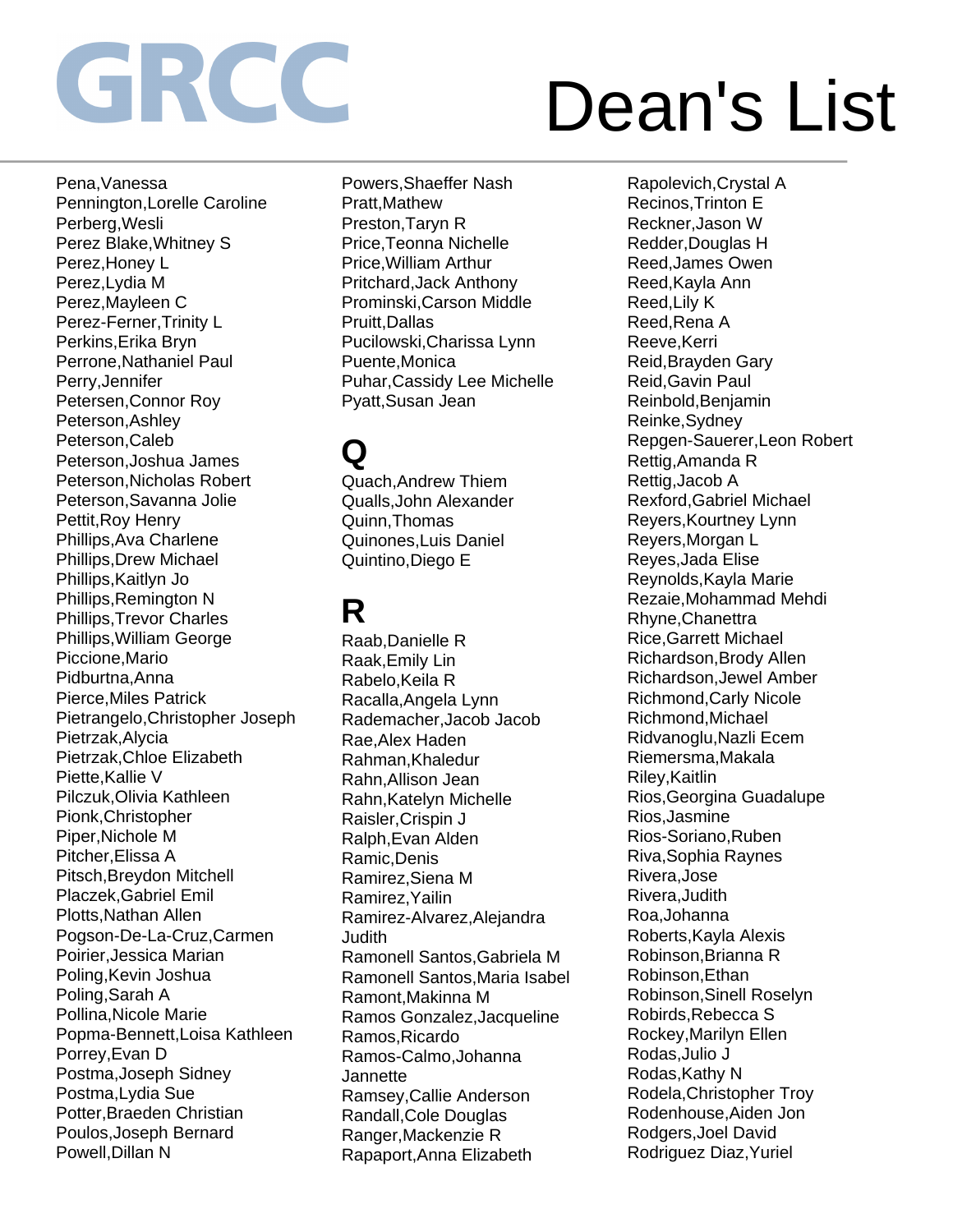Pena,Vanessa Pennington,Lorelle Caroline Perberg,Wesli Perez Blake,Whitney S Perez,Honey L Perez,Lydia M Perez,Mayleen C Perez-Ferner,Trinity L Perkins,Erika Bryn Perrone,Nathaniel Paul Perry,Jennifer Petersen,Connor Roy Peterson,Ashley Peterson,Caleb Peterson,Joshua James Peterson,Nicholas Robert Peterson,Savanna Jolie Pettit,Roy Henry Phillips,Ava Charlene Phillips,Drew Michael Phillips,Kaitlyn Jo Phillips,Remington N Phillips,Trevor Charles Phillips,William George Piccione,Mario Pidburtna,Anna Pierce,Miles Patrick Pietrangelo,Christopher Joseph Pietrzak,Alycia Pietrzak,Chloe Elizabeth Piette,Kallie V Pilczuk,Olivia Kathleen Pionk,Christopher Piper,Nichole M Pitcher,Elissa A Pitsch,Breydon Mitchell Placzek,Gabriel Emil Plotts,Nathan Allen Pogson-De-La-Cruz,Carmen Poirier,Jessica Marian Poling,Kevin Joshua Poling,Sarah A Pollina,Nicole Marie Popma-Bennett,Loisa Kathleen Porrey,Evan D Postma,Joseph Sidney Postma,Lydia Sue Potter,Braeden Christian Poulos,Joseph Bernard Powell,Dillan N

Powers,Shaeffer Nash Pratt,Mathew Preston,Taryn R Price,Teonna Nichelle Price,William Arthur Pritchard,Jack Anthony Prominski,Carson Middle Pruitt,Dallas Pucilowski,Charissa Lynn Puente,Monica Puhar,Cassidy Lee Michelle Pyatt,Susan Jean

## **Q**

Quach,Andrew Thiem Qualls,John Alexander Quinn,Thomas Quinones,Luis Daniel Quintino,Diego E

### **R**

Raab,Danielle R Raak,Emily Lin Rabelo,Keila R Racalla,Angela Lynn Rademacher,Jacob Jacob Rae,Alex Haden Rahman,Khaledur Rahn,Allison Jean Rahn,Katelyn Michelle Raisler,Crispin J Ralph,Evan Alden Ramic,Denis Ramirez,Siena M Ramirez,Yailin Ramirez-Alvarez,Alejandra Judith Ramonell Santos,Gabriela M Ramonell Santos,Maria Isabel Ramont,Makinna M Ramos Gonzalez,Jacqueline Ramos,Ricardo Ramos-Calmo,Johanna **Jannette** Ramsey,Callie Anderson Randall,Cole Douglas Ranger,Mackenzie R Rapaport,Anna Elizabeth

Rapolevich,Crystal A Recinos,Trinton E Reckner,Jason W Redder,Douglas H Reed,James Owen Reed,Kayla Ann Reed,Lily K Reed,Rena A Reeve,Kerri Reid,Brayden Gary Reid,Gavin Paul Reinbold,Benjamin Reinke,Sydney Repgen-Sauerer,Leon Robert Rettig,Amanda R Rettig,Jacob A Rexford,Gabriel Michael Reyers,Kourtney Lynn Reyers,Morgan L Reyes,Jada Elise Reynolds,Kayla Marie Rezaie,Mohammad Mehdi Rhyne,Chanettra Rice,Garrett Michael Richardson,Brody Allen Richardson,Jewel Amber Richmond,Carly Nicole Richmond,Michael Ridvanoglu,Nazli Ecem Riemersma,Makala Riley,Kaitlin Rios,Georgina Guadalupe Rios,Jasmine Rios-Soriano,Ruben Riva,Sophia Raynes Rivera,Jose Rivera,Judith Roa,Johanna Roberts,Kayla Alexis Robinson,Brianna R Robinson,Ethan Robinson,Sinell Roselyn Robirds,Rebecca S Rockey,Marilyn Ellen Rodas,Julio J Rodas,Kathy N Rodela,Christopher Troy Rodenhouse,Aiden Jon Rodgers,Joel David Rodriguez Diaz,Yuriel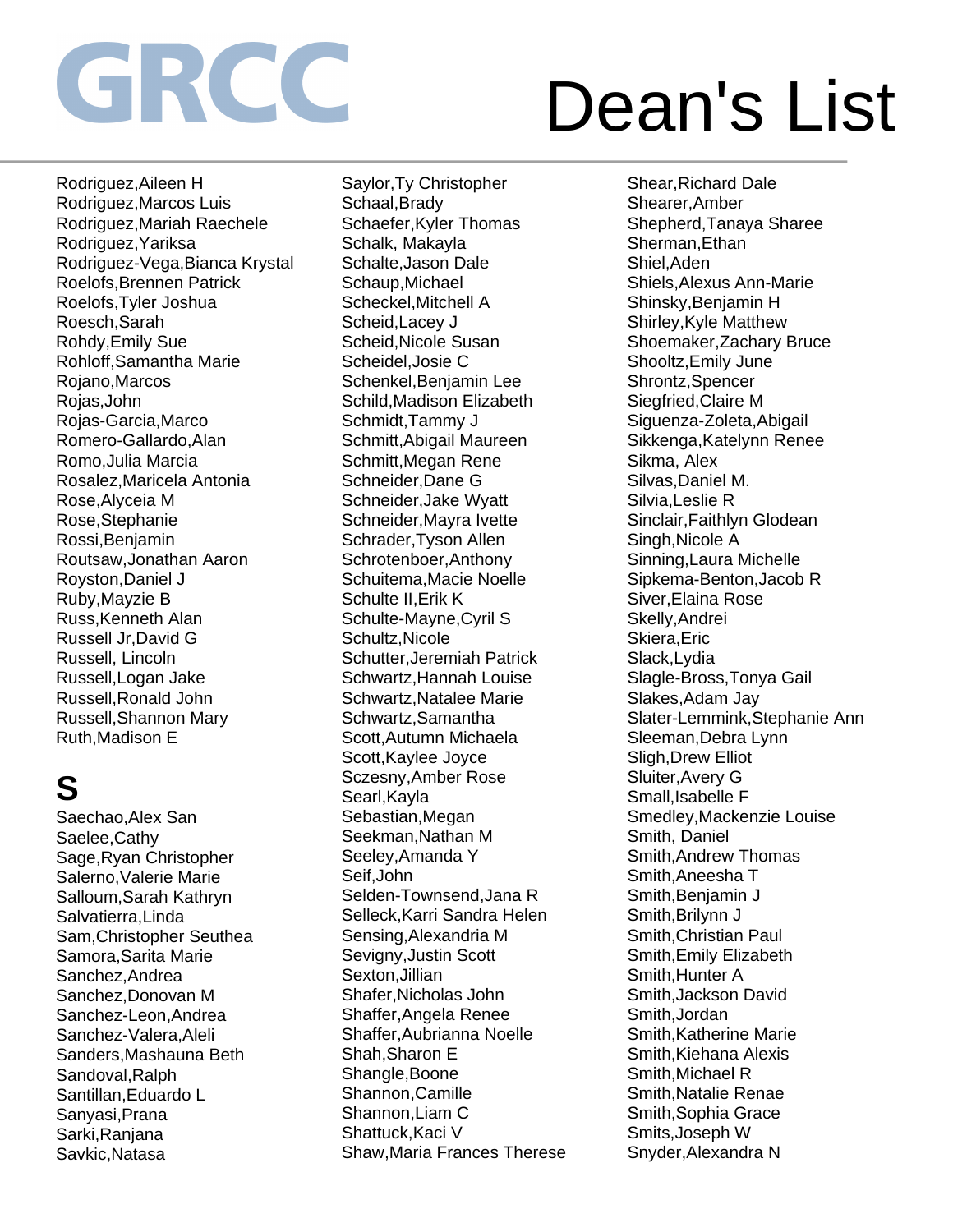Rodriguez,Aileen H Rodriguez,Marcos Luis Rodriguez,Mariah Raechele Rodriguez,Yariksa Rodriguez-Vega,Bianca Krystal Roelofs,Brennen Patrick Roelofs,Tyler Joshua Roesch,Sarah Rohdy,Emily Sue Rohloff,Samantha Marie Rojano,Marcos Rojas,John Rojas-Garcia,Marco Romero-Gallardo,Alan Romo,Julia Marcia Rosalez,Maricela Antonia Rose,Alyceia M Rose,Stephanie Rossi,Benjamin Routsaw,Jonathan Aaron Royston,Daniel J Ruby,Mayzie B Russ,Kenneth Alan Russell Jr,David G Russell, Lincoln Russell,Logan Jake Russell,Ronald John Russell,Shannon Mary Ruth,Madison E

## **S**

Saechao,Alex San Saelee,Cathy Sage,Ryan Christopher Salerno,Valerie Marie Salloum,Sarah Kathryn Salvatierra,Linda Sam,Christopher Seuthea Samora,Sarita Marie Sanchez,Andrea Sanchez,Donovan M Sanchez-Leon,Andrea Sanchez-Valera,Aleli Sanders,Mashauna Beth Sandoval, Ralph Santillan,Eduardo L Sanyasi,Prana Sarki,Ranjana Savkic,Natasa

Saylor,Ty Christopher Schaal,Brady Schaefer,Kyler Thomas Schalk, Makayla Schalte,Jason Dale Schaup,Michael Scheckel,Mitchell A Scheid,Lacey J Scheid,Nicole Susan Scheidel,Josie C Schenkel,Benjamin Lee Schild,Madison Elizabeth Schmidt,Tammy J Schmitt,Abigail Maureen Schmitt,Megan Rene Schneider,Dane G Schneider,Jake Wyatt Schneider,Mayra Ivette Schrader,Tyson Allen Schrotenboer,Anthony Schuitema,Macie Noelle Schulte II,Erik K Schulte-Mayne,Cyril S Schultz,Nicole Schutter,Jeremiah Patrick Schwartz,Hannah Louise Schwartz,Natalee Marie Schwartz,Samantha Scott,Autumn Michaela Scott,Kaylee Joyce Sczesny,Amber Rose Searl,Kayla Sebastian,Megan Seekman,Nathan M Seeley,Amanda Y Seif,John Selden-Townsend,Jana R Selleck,Karri Sandra Helen Sensing,Alexandria M Sevigny,Justin Scott Sexton,Jillian Shafer,Nicholas John Shaffer,Angela Renee Shaffer,Aubrianna Noelle Shah,Sharon E Shangle,Boone Shannon,Camille Shannon,Liam C Shattuck,Kaci V Shaw,Maria Frances Therese

Shear,Richard Dale Shearer,Amber Shepherd,Tanaya Sharee Sherman,Ethan Shiel,Aden Shiels,Alexus Ann-Marie Shinsky,Benjamin H Shirley,Kyle Matthew Shoemaker,Zachary Bruce Shooltz,Emily June Shrontz,Spencer Siegfried,Claire M Siguenza-Zoleta,Abigail Sikkenga,Katelynn Renee Sikma, Alex Silvas,Daniel M. Silvia,Leslie R Sinclair,Faithlyn Glodean Singh,Nicole A Sinning,Laura Michelle Sipkema-Benton,Jacob R Siver,Elaina Rose Skelly,Andrei Skiera,Eric Slack,Lydia Slagle-Bross,Tonya Gail Slakes,Adam Jay Slater-Lemmink,Stephanie Ann Sleeman,Debra Lynn Sligh,Drew Elliot Sluiter,Avery G Small, Isabelle F Smedley,Mackenzie Louise Smith, Daniel Smith,Andrew Thomas Smith,Aneesha T Smith,Benjamin J Smith,Brilynn J Smith,Christian Paul Smith,Emily Elizabeth Smith,Hunter A Smith,Jackson David Smith,Jordan Smith,Katherine Marie Smith,Kiehana Alexis Smith,Michael R Smith,Natalie Renae Smith,Sophia Grace Smits,Joseph W Snyder,Alexandra N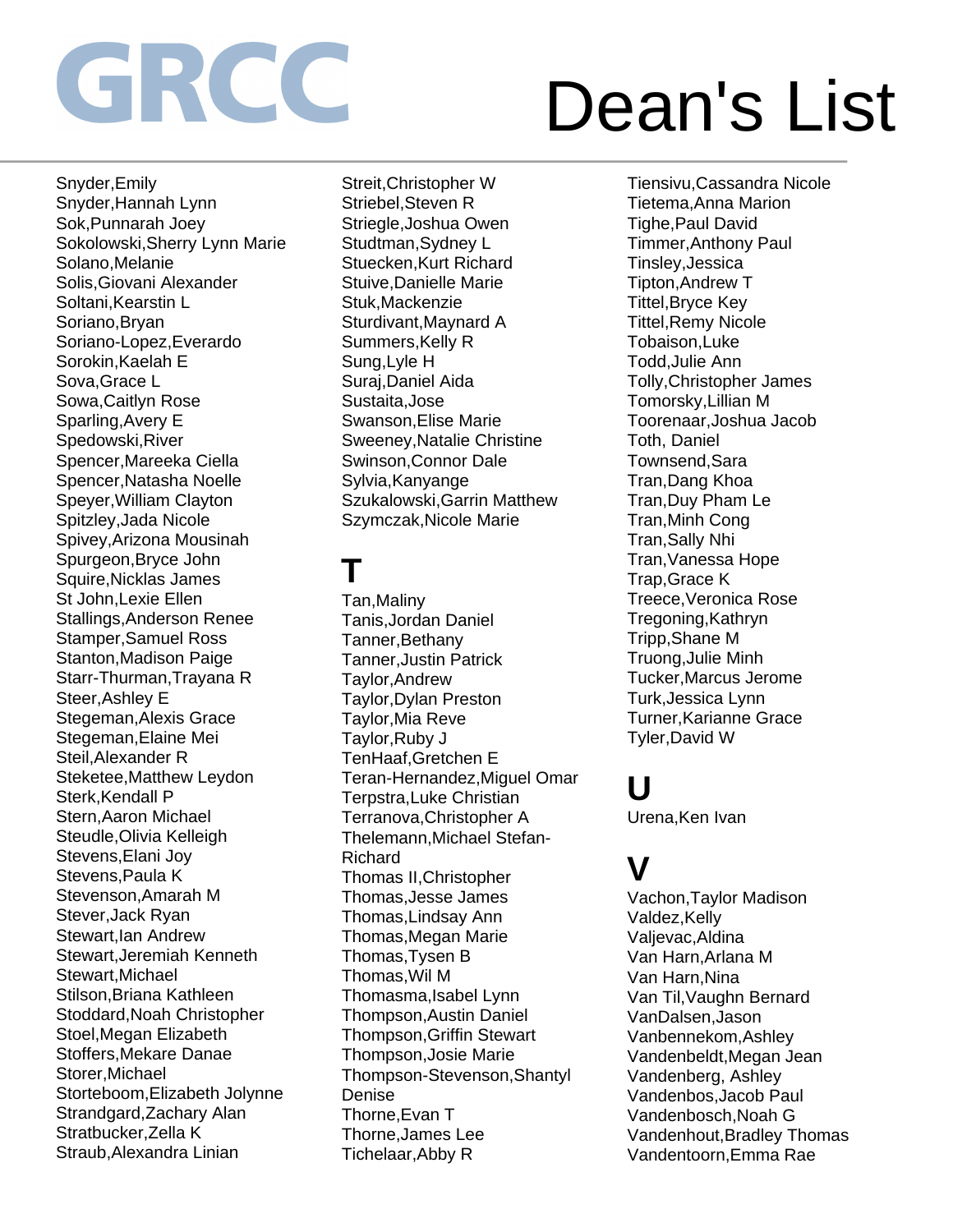Snyder,Emily Snyder,Hannah Lynn Sok,Punnarah Joey Sokolowski,Sherry Lynn Marie Solano,Melanie Solis,Giovani Alexander Soltani,Kearstin L Soriano,Bryan Soriano-Lopez,Everardo Sorokin,Kaelah E Sova,Grace L Sowa,Caitlyn Rose Sparling,Avery E Spedowski,River Spencer,Mareeka Ciella Spencer,Natasha Noelle Speyer,William Clayton Spitzley,Jada Nicole Spivey,Arizona Mousinah Spurgeon,Bryce John Squire,Nicklas James St John,Lexie Ellen Stallings,Anderson Renee Stamper,Samuel Ross Stanton,Madison Paige Starr-Thurman,Trayana R Steer,Ashley E Stegeman,Alexis Grace Stegeman,Elaine Mei Steil,Alexander R Steketee,Matthew Leydon Sterk, Kendall P Stern,Aaron Michael Steudle,Olivia Kelleigh Stevens,Elani Joy Stevens,Paula K Stevenson,Amarah M Stever,Jack Ryan Stewart,Ian Andrew Stewart,Jeremiah Kenneth Stewart,Michael Stilson,Briana Kathleen Stoddard,Noah Christopher Stoel,Megan Elizabeth Stoffers,Mekare Danae Storer,Michael Storteboom,Elizabeth Jolynne Strandgard,Zachary Alan Stratbucker,Zella K Straub,Alexandra Linian

Streit,Christopher W Striebel,Steven R Striegle,Joshua Owen Studtman,Sydney L Stuecken,Kurt Richard Stuive,Danielle Marie Stuk,Mackenzie Sturdivant,Maynard A Summers,Kelly R Sung,Lyle H Suraj,Daniel Aida Sustaita,Jose Swanson,Elise Marie Sweeney,Natalie Christine Swinson,Connor Dale Sylvia,Kanyange Szukalowski,Garrin Matthew Szymczak,Nicole Marie

## **T**

Tan,Maliny Tanis,Jordan Daniel Tanner,Bethany Tanner,Justin Patrick Taylor,Andrew Taylor,Dylan Preston Taylor,Mia Reve Taylor,Ruby J TenHaaf,Gretchen E Teran-Hernandez,Miguel Omar Terpstra,Luke Christian Terranova,Christopher A Thelemann,Michael Stefan-Richard Thomas II,Christopher Thomas,Jesse James Thomas,Lindsay Ann Thomas,Megan Marie Thomas,Tysen B Thomas,Wil M Thomasma,Isabel Lynn Thompson,Austin Daniel Thompson,Griffin Stewart Thompson,Josie Marie Thompson-Stevenson,Shantyl Denise Thorne,Evan T Thorne,James Lee Tichelaar,Abby R

Tiensivu,Cassandra Nicole Tietema,Anna Marion Tighe,Paul David Timmer,Anthony Paul Tinsley,Jessica Tipton,Andrew T Tittel,Bryce Key Tittel,Remy Nicole Tobaison,Luke Todd,Julie Ann Tolly,Christopher James Tomorsky,Lillian M Toorenaar,Joshua Jacob Toth, Daniel Townsend,Sara Tran,Dang Khoa Tran,Duy Pham Le Tran,Minh Cong Tran,Sally Nhi Tran,Vanessa Hope Trap,Grace K Treece,Veronica Rose Tregoning,Kathryn Tripp,Shane M Truong,Julie Minh Tucker,Marcus Jerome Turk,Jessica Lynn Turner,Karianne Grace Tyler,David W

### **U**

Urena,Ken Ivan

### **V**

Vachon,Taylor Madison Valdez, Kelly Valjevac,Aldina Van Harn,Arlana M Van Harn,Nina Van Til,Vaughn Bernard VanDalsen,Jason Vanbennekom,Ashley Vandenbeldt,Megan Jean Vandenberg, Ashley Vandenbos,Jacob Paul Vandenbosch,Noah G Vandenhout,Bradley Thomas Vandentoorn,Emma Rae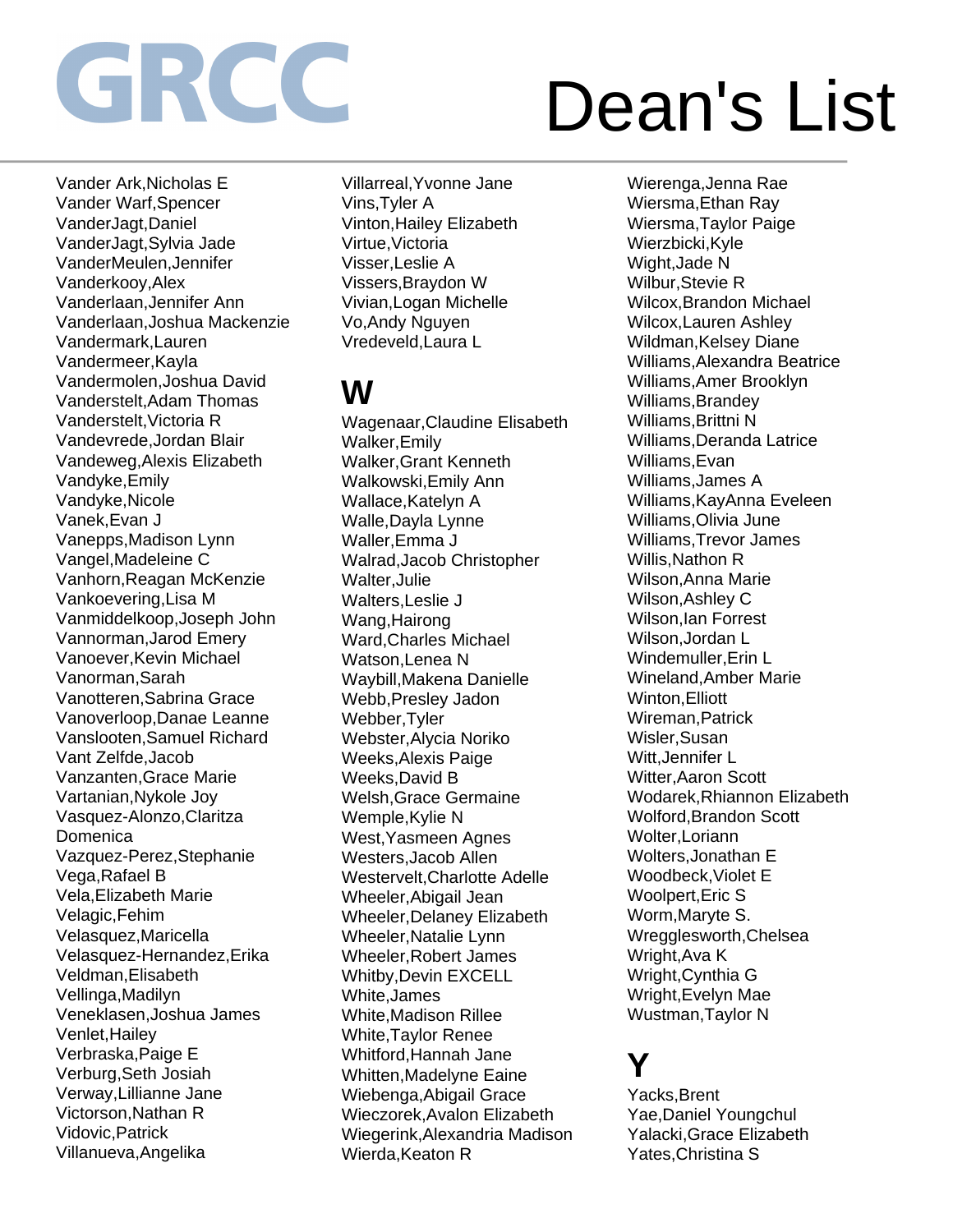Vander Ark,Nicholas E Vander Warf,Spencer VanderJagt,Daniel VanderJagt,Sylvia Jade VanderMeulen,Jennifer Vanderkooy,Alex Vanderlaan,Jennifer Ann Vanderlaan,Joshua Mackenzie Vandermark,Lauren Vandermeer,Kayla Vandermolen,Joshua David Vanderstelt,Adam Thomas Vanderstelt,Victoria R Vandevrede,Jordan Blair Vandeweg,Alexis Elizabeth Vandyke,Emily Vandyke,Nicole Vanek,Evan J Vanepps,Madison Lynn Vangel,Madeleine C Vanhorn,Reagan McKenzie Vankoevering,Lisa M Vanmiddelkoop,Joseph John Vannorman,Jarod Emery Vanoever,Kevin Michael Vanorman,Sarah Vanotteren,Sabrina Grace Vanoverloop,Danae Leanne Vanslooten,Samuel Richard Vant Zelfde,Jacob Vanzanten,Grace Marie Vartanian,Nykole Joy Vasquez-Alonzo,Claritza **Domenica** Vazquez-Perez,Stephanie Vega,Rafael B Vela,Elizabeth Marie Velagic,Fehim Velasquez,Maricella Velasquez-Hernandez,Erika Veldman,Elisabeth Vellinga,Madilyn Veneklasen,Joshua James Venlet,Hailey Verbraska,Paige E Verburg,Seth Josiah Verway,Lillianne Jane Victorson,Nathan R Vidovic,Patrick Villanueva,Angelika

Villarreal,Yvonne Jane Vins,Tyler A Vinton,Hailey Elizabeth Virtue,Victoria Visser,Leslie A Vissers,Braydon W Vivian,Logan Michelle Vo,Andy Nguyen Vredeveld,Laura L

## **W**

Wagenaar,Claudine Elisabeth Walker,Emily Walker,Grant Kenneth Walkowski,Emily Ann Wallace,Katelyn A Walle,Dayla Lynne Waller,Emma J Walrad,Jacob Christopher Walter,Julie Walters,Leslie J Wang,Hairong Ward,Charles Michael Watson,Lenea N Waybill,Makena Danielle Webb,Presley Jadon Webber,Tyler Webster,Alycia Noriko Weeks,Alexis Paige Weeks,David B Welsh,Grace Germaine Wemple,Kylie N West,Yasmeen Agnes Westers,Jacob Allen Westervelt,Charlotte Adelle Wheeler,Abigail Jean Wheeler,Delaney Elizabeth Wheeler,Natalie Lynn Wheeler,Robert James Whitby,Devin EXCELL White,James White,Madison Rillee White,Taylor Renee Whitford,Hannah Jane Whitten,Madelyne Eaine Wiebenga,Abigail Grace Wieczorek,Avalon Elizabeth Wiegerink,Alexandria Madison Wierda, Keaton R

Wierenga,Jenna Rae Wiersma,Ethan Ray Wiersma,Taylor Paige Wierzbicki,Kyle Wight,Jade N Wilbur,Stevie R Wilcox,Brandon Michael Wilcox,Lauren Ashley Wildman,Kelsey Diane Williams,Alexandra Beatrice Williams,Amer Brooklyn Williams,Brandey Williams,Brittni N Williams,Deranda Latrice Williams,Evan Williams,James A Williams,KayAnna Eveleen Williams,Olivia June Williams,Trevor James Willis,Nathon R Wilson,Anna Marie Wilson,Ashley C Wilson,Ian Forrest Wilson,Jordan L Windemuller,Erin L Wineland,Amber Marie Winton,Elliott Wireman,Patrick Wisler,Susan Witt,Jennifer L Witter,Aaron Scott Wodarek,Rhiannon Elizabeth Wolford,Brandon Scott Wolter,Loriann Wolters,Jonathan E Woodbeck,Violet E Woolpert,Eric S Worm,Maryte S. Wregglesworth,Chelsea Wright,Ava K Wright,Cynthia G Wright,Evelyn Mae Wustman,Taylor N

### **Y**

Yacks,Brent Yae,Daniel Youngchul Yalacki,Grace Elizabeth Yates,Christina S